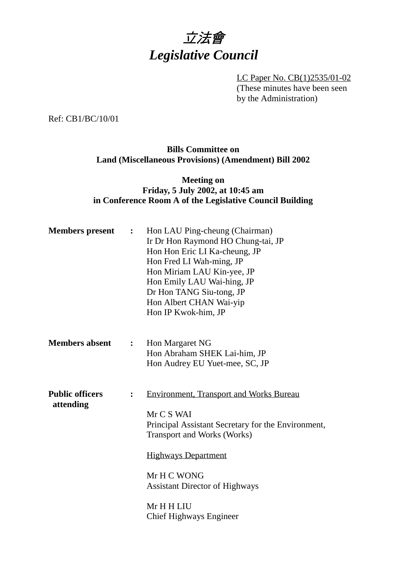

LC Paper No. CB(1)2535/01-02 (These minutes have been seen by the Administration)

Ref: CB1/BC/10/01

## **Bills Committee on Land (Miscellaneous Provisions) (Amendment) Bill 2002**

## **Meeting on Friday, 5 July 2002, at 10:45 am in Conference Room A of the Legislative Council Building**

| <b>Members</b> present                                | $\ddot{\cdot}$ | Hon LAU Ping-cheung (Chairman)<br>Ir Dr Hon Raymond HO Chung-tai, JP<br>Hon Hon Eric LI Ka-cheung, JP<br>Hon Fred LI Wah-ming, JP<br>Hon Miriam LAU Kin-yee, JP<br>Hon Emily LAU Wai-hing, JP<br>Dr Hon TANG Siu-tong, JP<br>Hon Albert CHAN Wai-yip<br>Hon IP Kwok-him, JP                    |  |
|-------------------------------------------------------|----------------|------------------------------------------------------------------------------------------------------------------------------------------------------------------------------------------------------------------------------------------------------------------------------------------------|--|
| <b>Members absent</b>                                 | :              | Hon Margaret NG<br>Hon Abraham SHEK Lai-him, JP<br>Hon Audrey EU Yuet-mee, SC, JP                                                                                                                                                                                                              |  |
| <b>Public officers</b><br>$\ddot{\cdot}$<br>attending |                | <b>Environment, Transport and Works Bureau</b><br>Mr C S WAI<br>Principal Assistant Secretary for the Environment,<br><b>Transport and Works (Works)</b><br><b>Highways Department</b><br>Mr H C WONG<br><b>Assistant Director of Highways</b><br>Mr H H LIU<br><b>Chief Highways Engineer</b> |  |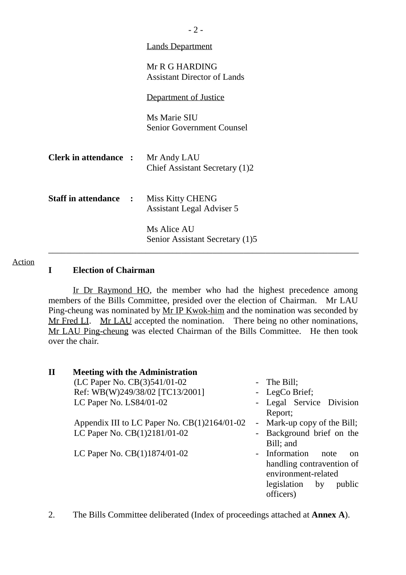|                                          | <b>Lands Department</b>                              |
|------------------------------------------|------------------------------------------------------|
|                                          | Mr R G HARDING<br><b>Assistant Director of Lands</b> |
|                                          | Department of Justice                                |
|                                          | Ms Marie SIU<br><b>Senior Government Counsel</b>     |
| <b>Clerk in attendance : Mr Andy LAU</b> | Chief Assistant Secretary (1)2                       |
| <b>Staff in attendance :</b>             | Miss Kitty CHENG<br><b>Assistant Legal Adviser 5</b> |
|                                          | Ms Alice AU<br>Senior Assistant Secretary (1)5       |

#### Action

### **I Election of Chairman**

Ir Dr Raymond HO, the member who had the highest precedence among members of the Bills Committee, presided over the election of Chairman. Mr LAU Ping-cheung was nominated by Mr IP Kwok-him and the nomination was seconded by Mr Fred LI. Mr LAU accepted the nomination. There being no other nominations, Mr LAU Ping-cheung was elected Chairman of the Bills Committee. He then took over the chair.

| $\mathbf{I}$ | <b>Meeting with the Administration</b>         |                                   |
|--------------|------------------------------------------------|-----------------------------------|
|              | (LC Paper No. CB(3)541/01-02                   | - The Bill;                       |
|              | Ref: WB(W)249/38/02 [TC13/2001]                | - LegCo Brief;                    |
|              | LC Paper No. LS84/01-02                        | - Legal Service Division          |
|              |                                                | Report;                           |
|              | Appendix III to LC Paper No. $CB(1)2164/01-02$ | - Mark-up copy of the Bill;       |
|              | LC Paper No. CB(1)2181/01-02                   | Background brief on the           |
|              |                                                | Bill; and                         |
|              | LC Paper No. CB(1)1874/01-02                   | - Information<br>note<br>$\alpha$ |
|              |                                                | handling contravention of         |
|              |                                                | environment-related               |
|              |                                                | legislation<br>public<br>by       |
|              |                                                | officers)                         |

2. The Bills Committee deliberated (Index of proceedings attached at **Annex A**).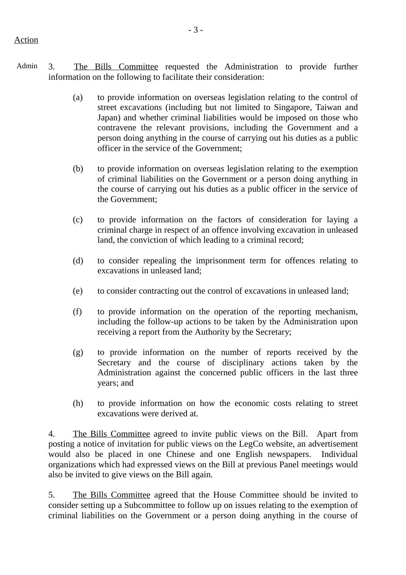- Admin 3. The Bills Committee requested the Administration to provide further information on the following to facilitate their consideration:
	- (a) to provide information on overseas legislation relating to the control of street excavations (including but not limited to Singapore, Taiwan and Japan) and whether criminal liabilities would be imposed on those who contravene the relevant provisions, including the Government and a person doing anything in the course of carrying out his duties as a public officer in the service of the Government;
	- (b) to provide information on overseas legislation relating to the exemption of criminal liabilities on the Government or a person doing anything in the course of carrying out his duties as a public officer in the service of the Government;
	- (c) to provide information on the factors of consideration for laying a criminal charge in respect of an offence involving excavation in unleased land, the conviction of which leading to a criminal record;
	- (d) to consider repealing the imprisonment term for offences relating to excavations in unleased land;
	- (e) to consider contracting out the control of excavations in unleased land;
	- (f) to provide information on the operation of the reporting mechanism, including the follow-up actions to be taken by the Administration upon receiving a report from the Authority by the Secretary;
	- (g) to provide information on the number of reports received by the Secretary and the course of disciplinary actions taken by the Administration against the concerned public officers in the last three years; and
	- (h) to provide information on how the economic costs relating to street excavations were derived at.

4. The Bills Committee agreed to invite public views on the Bill. Apart from posting a notice of invitation for public views on the LegCo website, an advertisement would also be placed in one Chinese and one English newspapers. Individual organizations which had expressed views on the Bill at previous Panel meetings would also be invited to give views on the Bill again.

5. The Bills Committee agreed that the House Committee should be invited to consider setting up a Subcommittee to follow up on issues relating to the exemption of criminal liabilities on the Government or a person doing anything in the course of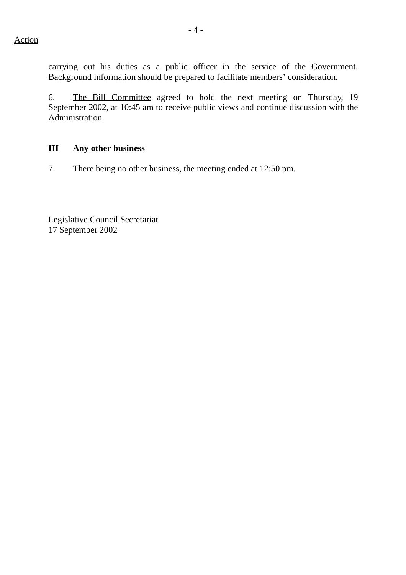carrying out his duties as a public officer in the service of the Government. Background information should be prepared to facilitate members' consideration.

6. The Bill Committee agreed to hold the next meeting on Thursday, 19 September 2002, at 10:45 am to receive public views and continue discussion with the Administration.

## **III Any other business**

7. There being no other business, the meeting ended at 12:50 pm.

Legislative Council Secretariat 17 September 2002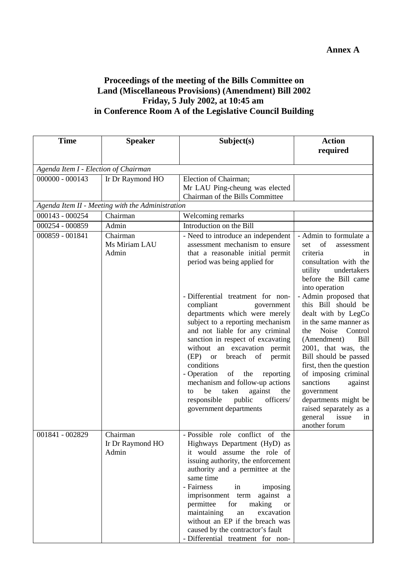# **Proceedings of the meeting of the Bills Committee on Land (Miscellaneous Provisions) (Amendment) Bill 2002 Friday, 5 July 2002, at 10:45 am in Conference Room A of the Legislative Council Building**

| <b>Time</b>                          | <b>Speaker</b>                                   | Subject(s)                                                                                                                                                                                                                                                                                                                                                                                                                                                                                                                                                                                                                            | <b>Action</b>                                                                                                                                                                                                                                                                                                                                                                                                                                                                                                                                   |
|--------------------------------------|--------------------------------------------------|---------------------------------------------------------------------------------------------------------------------------------------------------------------------------------------------------------------------------------------------------------------------------------------------------------------------------------------------------------------------------------------------------------------------------------------------------------------------------------------------------------------------------------------------------------------------------------------------------------------------------------------|-------------------------------------------------------------------------------------------------------------------------------------------------------------------------------------------------------------------------------------------------------------------------------------------------------------------------------------------------------------------------------------------------------------------------------------------------------------------------------------------------------------------------------------------------|
|                                      |                                                  |                                                                                                                                                                                                                                                                                                                                                                                                                                                                                                                                                                                                                                       | required                                                                                                                                                                                                                                                                                                                                                                                                                                                                                                                                        |
| Agenda Item I - Election of Chairman |                                                  |                                                                                                                                                                                                                                                                                                                                                                                                                                                                                                                                                                                                                                       |                                                                                                                                                                                                                                                                                                                                                                                                                                                                                                                                                 |
| $000000 - 000143$                    | Ir Dr Raymond HO                                 | Election of Chairman;                                                                                                                                                                                                                                                                                                                                                                                                                                                                                                                                                                                                                 |                                                                                                                                                                                                                                                                                                                                                                                                                                                                                                                                                 |
|                                      |                                                  | Mr LAU Ping-cheung was elected                                                                                                                                                                                                                                                                                                                                                                                                                                                                                                                                                                                                        |                                                                                                                                                                                                                                                                                                                                                                                                                                                                                                                                                 |
|                                      |                                                  | Chairman of the Bills Committee                                                                                                                                                                                                                                                                                                                                                                                                                                                                                                                                                                                                       |                                                                                                                                                                                                                                                                                                                                                                                                                                                                                                                                                 |
|                                      | Agenda Item II - Meeting with the Administration |                                                                                                                                                                                                                                                                                                                                                                                                                                                                                                                                                                                                                                       |                                                                                                                                                                                                                                                                                                                                                                                                                                                                                                                                                 |
| $000143 - 000254$                    | Chairman                                         | Welcoming remarks                                                                                                                                                                                                                                                                                                                                                                                                                                                                                                                                                                                                                     |                                                                                                                                                                                                                                                                                                                                                                                                                                                                                                                                                 |
| 000254 - 000859                      | Admin                                            | Introduction on the Bill                                                                                                                                                                                                                                                                                                                                                                                                                                                                                                                                                                                                              |                                                                                                                                                                                                                                                                                                                                                                                                                                                                                                                                                 |
| 000859 - 001841                      | Chairman<br>Ms Miriam LAU<br>Admin               | - Need to introduce an independent<br>assessment mechanism to ensure<br>that a reasonable initial permit<br>period was being applied for<br>- Differential treatment for non-<br>compliant<br>government<br>departments which were merely<br>subject to a reporting mechanism<br>and not liable for any criminal<br>sanction in respect of excavating<br>without an excavation permit<br>breach<br>(EP)<br><b>or</b><br>of<br>permit<br>conditions<br>- Operation<br>of<br>the<br>reporting<br>mechanism and follow-up actions<br>taken<br>be<br>against<br>the<br>to<br>officers/<br>responsible<br>public<br>government departments | - Admin to formulate a<br>of<br>set<br>assessment<br>criteria<br>1n<br>consultation with the<br>undertakers<br>utility<br>before the Bill came<br>into operation<br>- Admin proposed that<br>this Bill should be<br>dealt with by LegCo<br>in the same manner as<br>Noise<br>Control<br>the<br>(Amendment)<br><b>Bill</b><br>2001, that was, the<br>Bill should be passed<br>first, then the question<br>of imposing criminal<br>sanctions<br>against<br>government<br>departments might be<br>raised separately as a<br>issue<br>general<br>in |
| 001841 - 002829                      | Chairman<br>Ir Dr Raymond HO<br>Admin            | - Possible role conflict of the<br>Highways Department (HyD) as<br>it would assume the role of<br>issuing authority, the enforcement<br>authority and a permittee at the<br>same time<br>- Fairness<br>in<br>imposing<br>imprisonment term<br>against a<br>permittee<br>making<br>for<br><b>or</b><br>maintaining<br>excavation<br>an<br>without an EP if the breach was<br>caused by the contractor's fault<br>- Differential treatment for non-                                                                                                                                                                                     | another forum                                                                                                                                                                                                                                                                                                                                                                                                                                                                                                                                   |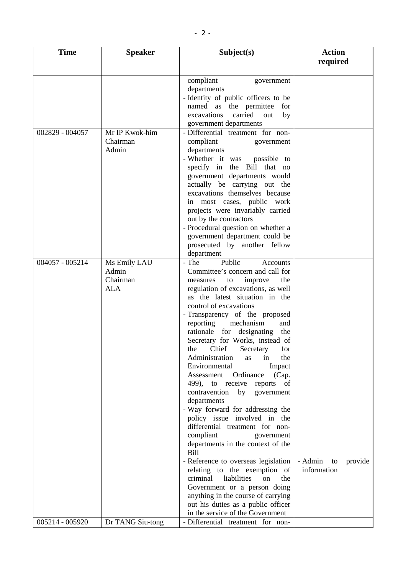| <b>Time</b>     | <b>Speaker</b>                                  | Subject(s)                                                                                                                                                                                                                                                                                                                                                                                                                                                                                                                                                                                                                                                                                                                                                                                                                                                                                                                                                                         | <b>Action</b><br>required               |
|-----------------|-------------------------------------------------|------------------------------------------------------------------------------------------------------------------------------------------------------------------------------------------------------------------------------------------------------------------------------------------------------------------------------------------------------------------------------------------------------------------------------------------------------------------------------------------------------------------------------------------------------------------------------------------------------------------------------------------------------------------------------------------------------------------------------------------------------------------------------------------------------------------------------------------------------------------------------------------------------------------------------------------------------------------------------------|-----------------------------------------|
|                 |                                                 | compliant<br>government<br>departments<br>- Identity of public officers to be<br>named as the permittee<br>for<br>carried<br>excavations<br>out<br>by<br>government departments                                                                                                                                                                                                                                                                                                                                                                                                                                                                                                                                                                                                                                                                                                                                                                                                    |                                         |
| 002829 - 004057 | Mr IP Kwok-him<br>Chairman<br>Admin             | - Differential treatment for non-<br>compliant<br>government<br>departments<br>- Whether it was possible to<br>specify in the Bill that no<br>government departments would<br>actually be carrying out the<br>excavations themselves because<br>in most cases, public work<br>projects were invariably carried<br>out by the contractors<br>- Procedural question on whether a<br>government department could be<br>prosecuted by another fellow<br>department                                                                                                                                                                                                                                                                                                                                                                                                                                                                                                                     |                                         |
| 004057 - 005214 | Ms Emily LAU<br>Admin<br>Chairman<br><b>ALA</b> | Public<br>- The<br>Accounts<br>Committee's concern and call for<br>to<br>improve<br>the<br>measures<br>regulation of excavations, as well<br>as the latest situation in the<br>control of excavations<br>- Transparency of the proposed<br>reporting<br>mechanism<br>and<br>rationale for designating<br>the<br>Secretary for Works, instead of<br>Chief Secretary<br>the<br>for<br>Administration<br>the<br>in<br>as<br>Environmental<br>Impact<br>Assessment Ordinance<br>(Cap.<br>499), to receive reports of<br>contravention<br>by government<br>departments<br>- Way forward for addressing the<br>policy issue involved in the<br>differential treatment for non-<br>compliant<br>government<br>departments in the context of the<br><b>Bill</b><br>- Reference to overseas legislation<br>relating to the exemption of<br>criminal<br>liabilities<br>the<br>on<br>Government or a person doing<br>anything in the course of carrying<br>out his duties as a public officer | - Admin<br>provide<br>to<br>information |
| 005214 - 005920 | Dr TANG Siu-tong                                | in the service of the Government<br>- Differential treatment for non-                                                                                                                                                                                                                                                                                                                                                                                                                                                                                                                                                                                                                                                                                                                                                                                                                                                                                                              |                                         |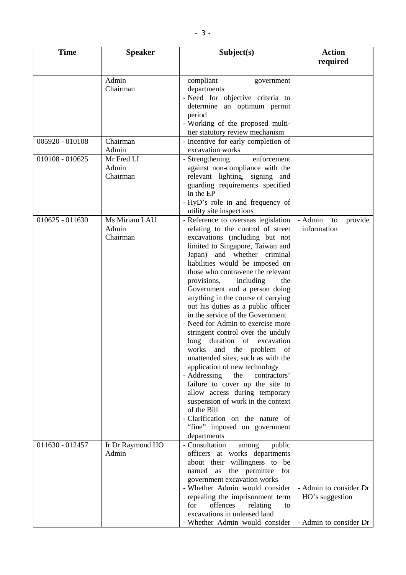| <b>Time</b>       | <b>Speaker</b>    | Subject(s)                                                           | <b>Action</b>            |
|-------------------|-------------------|----------------------------------------------------------------------|--------------------------|
|                   |                   |                                                                      | required                 |
|                   |                   |                                                                      |                          |
|                   | Admin<br>Chairman | compliant<br>government<br>departments                               |                          |
|                   |                   | - Need for objective criteria to                                     |                          |
|                   |                   | determine an optimum permit                                          |                          |
|                   |                   | period                                                               |                          |
|                   |                   | - Working of the proposed multi-                                     |                          |
|                   |                   | tier statutory review mechanism                                      |                          |
| 005920 - 010108   | Chairman          | - Incentive for early completion of                                  |                          |
|                   | Admin             | excavation works                                                     |                          |
| $010108 - 010625$ | Mr Fred LI        | - Strengthening<br>enforcement                                       |                          |
|                   | Admin             | against non-compliance with the                                      |                          |
|                   | Chairman          | relevant lighting, signing and                                       |                          |
|                   |                   | guarding requirements specified<br>in the EP                         |                          |
|                   |                   | - HyD's role in and frequency of                                     |                          |
|                   |                   | utility site inspections                                             |                          |
| $010625 - 011630$ | Ms Miriam LAU     | - Reference to overseas legislation                                  | - Admin<br>provide<br>to |
|                   | Admin             | relating to the control of street                                    | information              |
|                   | Chairman          | excavations (including but not                                       |                          |
|                   |                   | limited to Singapore, Taiwan and                                     |                          |
|                   |                   | Japan) and whether criminal<br>liabilities would be imposed on       |                          |
|                   |                   | those who contravene the relevant                                    |                          |
|                   |                   | provisions,<br>including<br>the                                      |                          |
|                   |                   | Government and a person doing                                        |                          |
|                   |                   | anything in the course of carrying                                   |                          |
|                   |                   | out his duties as a public officer                                   |                          |
|                   |                   | in the service of the Government                                     |                          |
|                   |                   | - Need for Admin to exercise more                                    |                          |
|                   |                   | stringent control over the unduly<br>long duration of excavation     |                          |
|                   |                   | works and the problem of                                             |                          |
|                   |                   | unattended sites, such as with the                                   |                          |
|                   |                   | application of new technology                                        |                          |
|                   |                   | - Addressing<br>the<br>contractors'                                  |                          |
|                   |                   | failure to cover up the site to                                      |                          |
|                   |                   | allow access during temporary                                        |                          |
|                   |                   | suspension of work in the context                                    |                          |
|                   |                   | of the Bill                                                          |                          |
|                   |                   | - Clarification on the nature of<br>"fine" imposed on government     |                          |
|                   |                   | departments                                                          |                          |
| 011630 - 012457   | Ir Dr Raymond HO  | - Consultation<br>public<br>among                                    |                          |
|                   | Admin             | officers at works departments                                        |                          |
|                   |                   | about their willingness to be                                        |                          |
|                   |                   | named as the permittee for                                           |                          |
|                   |                   | government excavation works                                          |                          |
|                   |                   | - Whether Admin would consider                                       | - Admin to consider Dr   |
|                   |                   | repealing the imprisonment term<br>offences<br>for<br>relating<br>to | HO's suggestion          |
|                   |                   | excavations in unleased land                                         |                          |
|                   |                   | - Whether Admin would consider                                       | - Admin to consider Dr   |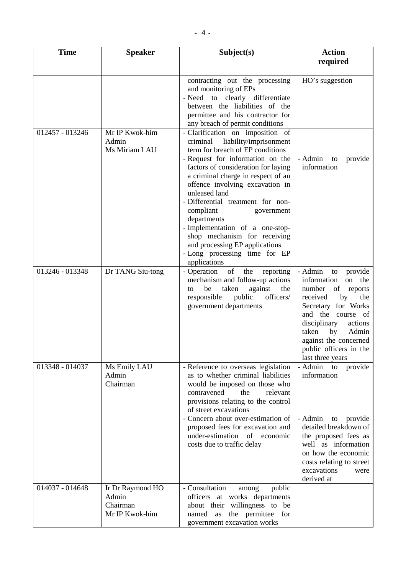| <b>Time</b>     | <b>Speaker</b>                                          | Subject(s)                                                                                                                                                                                                                                                                                                                                                                                                                                                                                                           | <b>Action</b>                                                                                                                                                                                                                                                      |
|-----------------|---------------------------------------------------------|----------------------------------------------------------------------------------------------------------------------------------------------------------------------------------------------------------------------------------------------------------------------------------------------------------------------------------------------------------------------------------------------------------------------------------------------------------------------------------------------------------------------|--------------------------------------------------------------------------------------------------------------------------------------------------------------------------------------------------------------------------------------------------------------------|
|                 |                                                         |                                                                                                                                                                                                                                                                                                                                                                                                                                                                                                                      | required                                                                                                                                                                                                                                                           |
|                 |                                                         | contracting out the processing<br>and monitoring of EPs<br>- Need to clearly differentiate<br>between the liabilities of the<br>permittee and his contractor for<br>any breach of permit conditions                                                                                                                                                                                                                                                                                                                  | HO's suggestion                                                                                                                                                                                                                                                    |
| 012457 - 013246 | Mr IP Kwok-him<br>Admin<br>Ms Miriam LAU                | - Clarification on imposition of<br>liability/imprisonment<br>criminal<br>term for breach of EP conditions<br>- Request for information on the<br>factors of consideration for laying<br>a criminal charge in respect of an<br>offence involving excavation in<br>unleased land<br>- Differential treatment for non-<br>compliant<br>government<br>departments<br>- Implementation of a one-stop-<br>shop mechanism for receiving<br>and processing EP applications<br>- Long processing time for EP<br>applications | - Admin<br>provide<br>to<br>information                                                                                                                                                                                                                            |
| 013246 - 013348 | Dr TANG Siu-tong                                        | - Operation<br>of<br>the<br>reporting<br>mechanism and follow-up actions<br>against<br>be<br>taken<br>the<br>to<br>officers/<br>responsible<br>public<br>government departments                                                                                                                                                                                                                                                                                                                                      | - Admin to<br>provide<br>information<br>on the<br>number of reports<br>received<br>by<br>the<br>Secretary for Works<br>and the course of<br>disciplinary<br>actions<br>Admin<br>taken<br>by<br>against the concerned<br>public officers in the<br>last three years |
| 013348 - 014037 | Ms Emily LAU<br>Admin<br>Chairman                       | - Reference to overseas legislation<br>as to whether criminal liabilities<br>would be imposed on those who<br>contravened<br>the<br>relevant<br>provisions relating to the control<br>of street excavations<br>- Concern about over-estimation of<br>proposed fees for excavation and<br>under-estimation of economic<br>costs due to traffic delay                                                                                                                                                                  | - Admin to<br>provide<br>information<br>- Admin<br>to provide<br>detailed breakdown of<br>the proposed fees as<br>well as information<br>on how the economic<br>costs relating to street<br>excavations<br>were<br>derived at                                      |
| 014037 - 014648 | Ir Dr Raymond HO<br>Admin<br>Chairman<br>Mr IP Kwok-him | - Consultation<br>public<br>among<br>officers at works departments<br>about their willingness to be<br>the permittee for<br>named as<br>government excavation works                                                                                                                                                                                                                                                                                                                                                  |                                                                                                                                                                                                                                                                    |